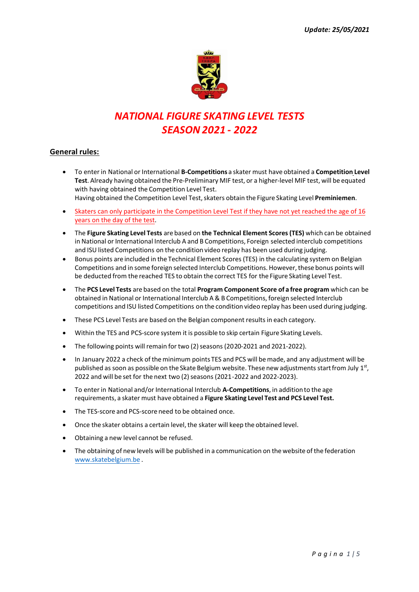

# *NATIONAL FIGURE SKATING LEVEL TESTS SEASON 2021 - 2022*

### **General rules:**

• To enter in National or International **B-Competitions** a skater must have obtained a **Competition Level Test**. Already having obtained the Pre-Preliminary MIF test, or a higher-level MIF test, will be equated with having obtained the Competition Level Test.

Having obtained the Competition Level Test, skaters obtain the Figure Skating Level **Preminiemen**.

- Skaters can only participate in the Competition Level Test if they have not yet reached the age of 16 years on the day of the test.
- The **Figure Skating Level Tests** are based on **the Technical Element Scores (TES)** which can be obtained in National or International Interclub A and B Competitions, Foreign selected interclub competitions and ISU listed Competitions on the condition video replay has been used during judging.
- Bonus points are included in the Technical Element Scores (TES) in the calculating system on Belgian Competitions and in some foreign selected Interclub Competitions. However, these bonus points will be deducted from the reached TES to obtain the correct TES for the Figure Skating Level Test.
- The **PCS Level Tests** are based on the total **Program Component Score of a free program** which can be obtained in National or International Interclub A & B Competitions, foreign selected Interclub competitions and ISU listed Competitions on the condition video replay has been used during judging.
- These PCS Level Tests are based on the Belgian component results in each category.
- Within the TES and PCS-score system it is possible to skip certain Figure Skating Levels.
- The following points will remain for two (2) seasons (2020-2021 and 2021-2022).
- In January 2022 a check of the minimum points TES and PCS will be made, and any adjustment will be published as soon as possible on the Skate Belgium website. These new adjustments start from July 1st, 2022 and will be set for the next two (2) seasons (2021-2022 and 2022-2023).
- To enter in National and/or International Interclub **A-Competitions**, in addition to the age requirements, a skater must have obtained a **Figure Skating Level Test and PCS Level Test.**
- The TES-score and PCS-score need to be obtained once.
- Once the skater obtains a certain level, the skater will keep the obtained level.
- Obtaining a new level cannot be refused.
- [The obtaining of new le](http://www.skatebelgium.be/)vels will be published in a communication on the website of the federation www.skatebelgium.be .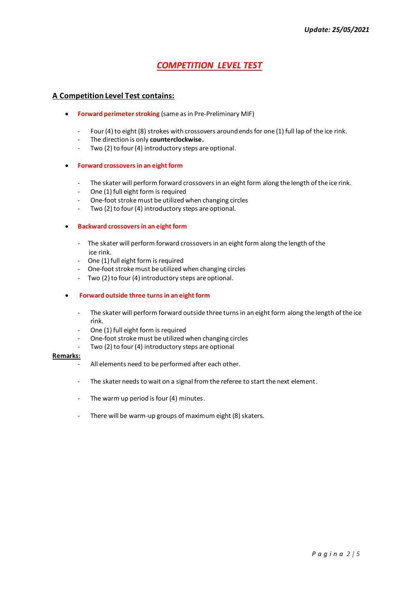### *COMPETITION LEVEL TEST*

### **A Competition Level Test contains:**

- **Forward perimeter stroking** (same as in Pre-Preliminary MIF)
	- Four (4) to eight (8) strokes with crossovers around ends for one (1) full lap of the ice rink.
	- The direction is only **counterclockwise.**
	- Two (2) to four (4) introductory steps are optional.
- **Forward crossovers in an eight form**
	- The skater will perform forward crossovers in an eight form along the length of the ice rink.
	- One (1) full eight form is required
	- One-foot stroke must be utilized when changing circles
	- Two (2) to four (4) introductory steps are optional.

#### • **Backward crossovers in an eight form**

- The skater will perform forward crossovers in an eight form along the length of the ice rink.
- One (1) full eight form is required
- One-foot stroke must be utilized when changing circles
- Two (2) to four (4) introductory steps are optional.
- **Forward outside three turnsin an eight form**
	- The skater will perform forward outside three turns in an eight form along the length of the ice rink.
	- One (1) full eight form is required
	- One-foot stroke must be utilized when changing circles
	- Two (2) to four (4) introductory steps are optional

#### **Remarks:**

- All elements need to be performed after each other.
- The skater needs to wait on a signal from the referee to start the next element.
- The warm up period is four (4) minutes.
- There will be warm-up groups of maximum eight (8) skaters.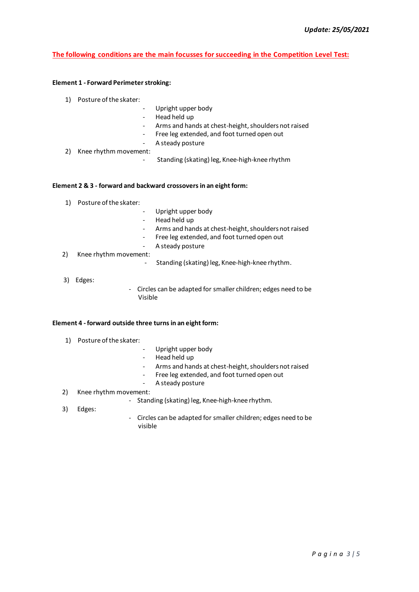### **The following conditions are the main focusses for succeeding in the Competition Level Test:**

#### **Element 1 - Forward Perimeter stroking:**

- 1) Posture of the skater:
	- Upright upper body
		- Head held up
		- Arms and hands at chest-height, shoulders not raised
		- Free leg extended, and foot turned open out
		- A steady posture
- 2) Knee rhythm movement:
	- Standing (skating) leg, Knee-high-knee rhythm

#### **Element 2 & 3 - forward and backward crossovers in an eight form:**

- 1) Posture of the skater:
- Upright upper body
- Head held up
- Arms and hands at chest-height, shoulders not raised
- Free leg extended, and foot turned open out
- A steady posture
- 2) Knee rhythm movement:
	- Standing (skating) leg, Knee-high-knee rhythm.
- 3) Edges:
- Circles can be adapted for smaller children; edges need to be Visible

#### **Element 4 - forward outside three turns in an eight form:**

- 1) Posture of the skater:
- Upright upper body
- Head held up
- Arms and hands at chest-height, shoulders not raised
- Free leg extended, and foot turned open out
- A steady posture

#### 2) Knee rhythm movement:

- Standing (skating) leg, Knee-high-knee rhythm.
- 3) Edges:
- Circles can be adapted for smaller children; edges need to be visible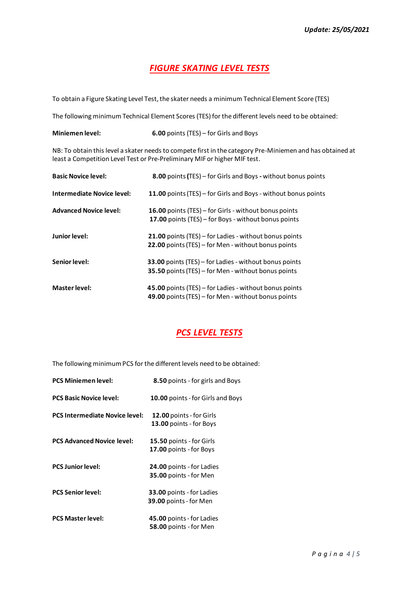## *FIGURE SKATING LEVEL TESTS*

To obtain a Figure Skating Level Test, the skater needs a minimum Technical Element Score (TES)

The following minimum Technical Element Scores (TES) for the different levels need to be obtained:

**Miniemen level: 6.00** points (TES) – for Girls and Boys

NB: To obtain this level a skater needs to compete first in the category Pre-Miniemen and has obtained at least a Competition Level Test or Pre-Preliminary MIF or higher MIF test.

| <b>Basic Novice level:</b>        | 8.00 points (TES) - for Girls and Boys - without bonus points                                                 |
|-----------------------------------|---------------------------------------------------------------------------------------------------------------|
| <b>Intermediate Novice level:</b> | 11.00 points (TES) - for Girls and Boys - without bonus points                                                |
| <b>Advanced Novice level:</b>     | 16.00 points (TES) – for Girls - without bonus points<br>17.00 points (TES) – for Boys - without bonus points |
| Junior level:                     | 21.00 points (TES) – for Ladies - without bonus points<br>22.00 points (TES) - for Men - without bonus points |
| Senior level:                     | 33.00 points (TES) - for Ladies - without bonus points<br>35.50 points (TES) – for Men - without bonus points |
| <b>Master level:</b>              | 45.00 points (TES) - for Ladies - without bonus points<br>49.00 points (TES) - for Men - without bonus points |

## *PCS LEVEL TESTS*

The following minimum PCS for the different levels need to be obtained:

| <b>PCS Miniemen level:</b>            | 8.50 points - for girls and Boys                                  |
|---------------------------------------|-------------------------------------------------------------------|
| <b>PCS Basic Novice level:</b>        | <b>10.00</b> points - for Girls and Boys                          |
| <b>PCS Intermediate Novice level:</b> | 12.00 points - for Girls<br>13.00 points - for Boys               |
| <b>PCS Advanced Novice level:</b>     | 15.50 points - for Girls<br>17.00 points - for Boys               |
| <b>PCS Junior level:</b>              | <b>24.00 points - for Ladies</b><br>35.00 points - for Men        |
| <b>PCS Senior level:</b>              | <b>33.00</b> points - for Ladies<br><b>39.00 points - for Men</b> |
| <b>PCS Master level:</b>              | 45.00 points - for Ladies<br>58.00 points - for Men               |